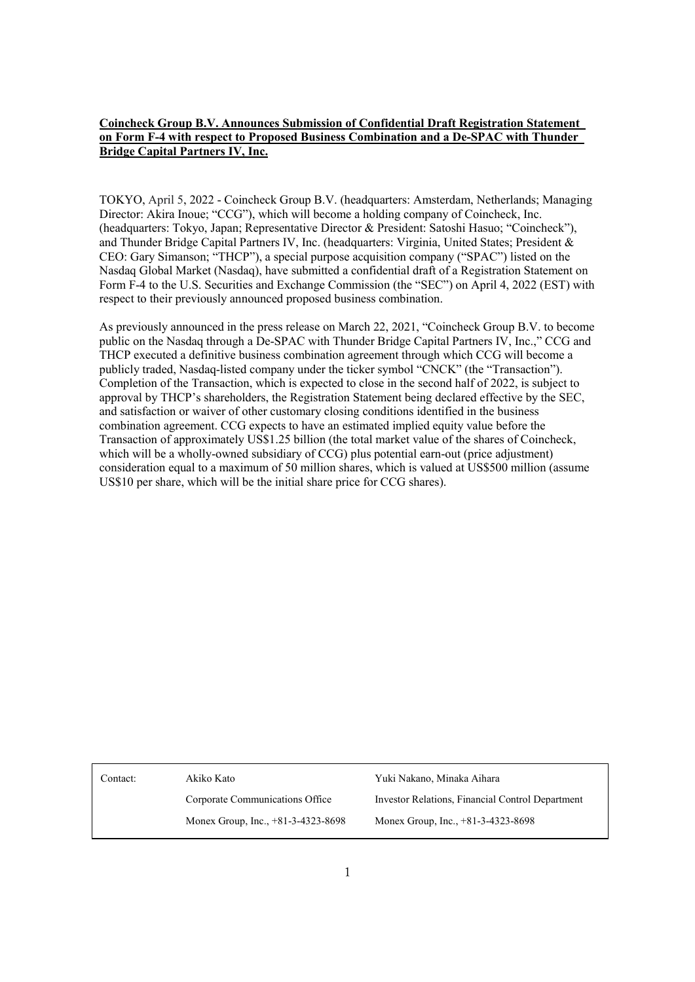## **Coincheck Group B.V. Announces Submission of Confidential Draft Registration Statement on Form F-4 with respect to Proposed Business Combination and a De-SPAC with Thunder Bridge Capital Partners IV, Inc.**

TOKYO, April 5, 2022 - Coincheck Group B.V. (headquarters: Amsterdam, Netherlands; Managing Director: Akira Inoue; "CCG"), which will become a holding company of Coincheck, Inc. (headquarters: Tokyo, Japan; Representative Director & President: Satoshi Hasuo; "Coincheck"), and Thunder Bridge Capital Partners Ⅳ, Inc. (headquarters: Virginia, United States; President & CEO: Gary Simanson; "THCP"), a special purpose acquisition company ("SPAC") listed on the Nasdaq Global Market (Nasdaq), have submitted a confidential draft of a Registration Statement on Form F-4 to the U.S. Securities and Exchange Commission (the "SEC") on April 4, 2022 (EST) with respect to their previously announced proposed business combination.

As previously announced in the press release on March 22, 2021, "Coincheck Group B.V. to become public on the Nasdaq through a De-SPAC with Thunder Bridge Capital Partners IV, Inc.," CCG and THCP executed a definitive business combination agreement through which CCG will become a publicly traded, Nasdaq-listed company under the ticker symbol "CNCK" (the "Transaction"). Completion of the Transaction, which is expected to close in the second half of 2022, is subject to approval by THCP's shareholders, the Registration Statement being declared effective by the SEC, and satisfaction or waiver of other customary closing conditions identified in the business combination agreement. CCG expects to have an estimated implied equity value before the Transaction of approximately US\$1.25 billion (the total market value of the shares of Coincheck, which will be a wholly-owned subsidiary of CCG) plus potential earn-out (price adjustment) consideration equal to a maximum of 50 million shares, which is valued at US\$500 million (assume US\$10 per share, which will be the initial share price for CCG shares).

Contact: Akiko Kato

Corporate Communications Office Monex Group, Inc., +81-3-4323-8698

Yuki Nakano, Minaka Aihara Investor Relations, Financial Control Department Monex Group, Inc., +81-3-4323-8698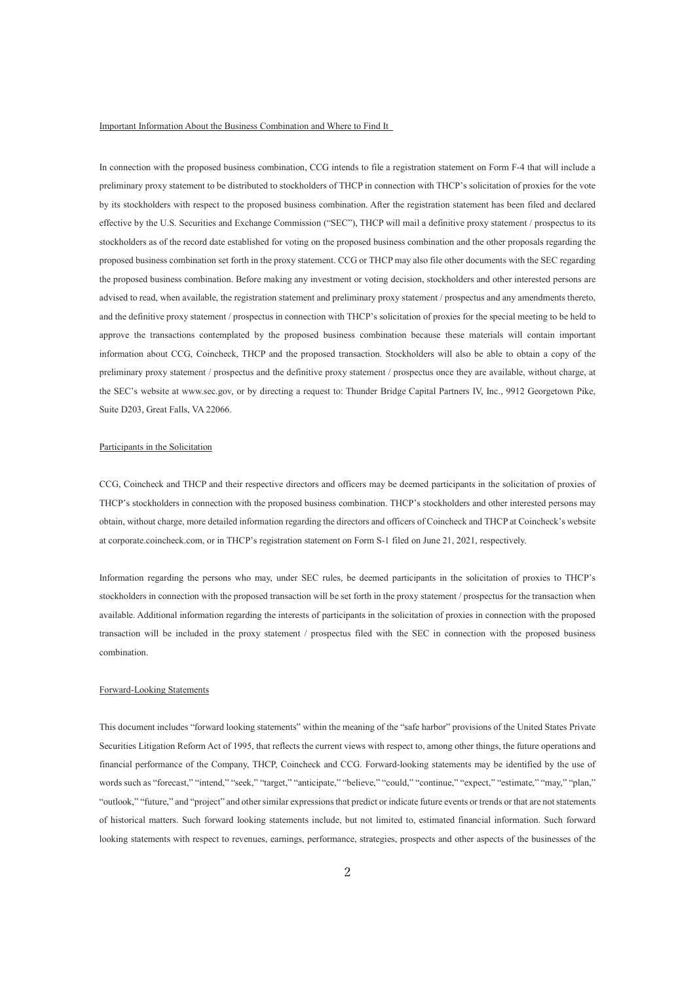## Important Information About the Business Combination and Where to Find It

In connection with the proposed business combination, CCG intends to file a registration statement on Form F-4 that will include a preliminary proxy statement to be distributed to stockholders of THCP in connection with THCP's solicitation of proxies for the vote by its stockholders with respect to the proposed business combination. After the registration statement has been filed and declared effective by the U.S. Securities and Exchange Commission ("SEC"), THCP will mail a definitive proxy statement / prospectus to its stockholders as of the record date established for voting on the proposed business combination and the other proposals regarding the proposed business combination set forth in the proxy statement. CCG or THCP may also file other documents with the SEC regarding the proposed business combination. Before making any investment or voting decision, stockholders and other interested persons are advised to read, when available, the registration statement and preliminary proxy statement / prospectus and any amendments thereto, and the definitive proxy statement / prospectus in connection with THCP's solicitation of proxies for the special meeting to be held to approve the transactions contemplated by the proposed business combination because these materials will contain important information about CCG, Coincheck, THCP and the proposed transaction. Stockholders will also be able to obtain a copy of the preliminary proxy statement / prospectus and the definitive proxy statement / prospectus once they are available, without charge, at the SEC's website at www.sec.gov, or by directing a request to: Thunder Bridge Capital Partners IV, Inc., 9912 Georgetown Pike, Suite D203, Great Falls, VA 22066.

## Participants in the Solicitation

CCG, Coincheck and THCP and their respective directors and officers may be deemed participants in the solicitation of proxies of THCP's stockholders in connection with the proposed business combination. THCP's stockholders and other interested persons may obtain, without charge, more detailed information regarding the directors and officers of Coincheck and THCP at Coincheck's website at corporate.coincheck.com, or in THCP's registration statement on Form S-1 filed on June 21, 2021, respectively.

Information regarding the persons who may, under SEC rules, be deemed participants in the solicitation of proxies to THCP's stockholders in connection with the proposed transaction will be set forth in the proxy statement / prospectus for the transaction when available. Additional information regarding the interests of participants in the solicitation of proxies in connection with the proposed transaction will be included in the proxy statement / prospectus filed with the SEC in connection with the proposed business combination.

## Forward-Looking Statements

This document includes "forward looking statements" within the meaning of the "safe harbor" provisions of the United States Private Securities Litigation Reform Act of 1995, that reflects the current views with respect to, among other things, the future operations and financial performance of the Company, THCP, Coincheck and CCG. Forward-looking statements may be identified by the use of words such as "forecast," "intend," "seek," "target," "anticipate," "believe," "could," "continue," "expect," "estimate," "may," "plan," "outlook," "future," and "project" and other similar expressions that predict or indicate future events or trends or that are not statements of historical matters. Such forward looking statements include, but not limited to, estimated financial information. Such forward looking statements with respect to revenues, earnings, performance, strategies, prospects and other aspects of the businesses of the